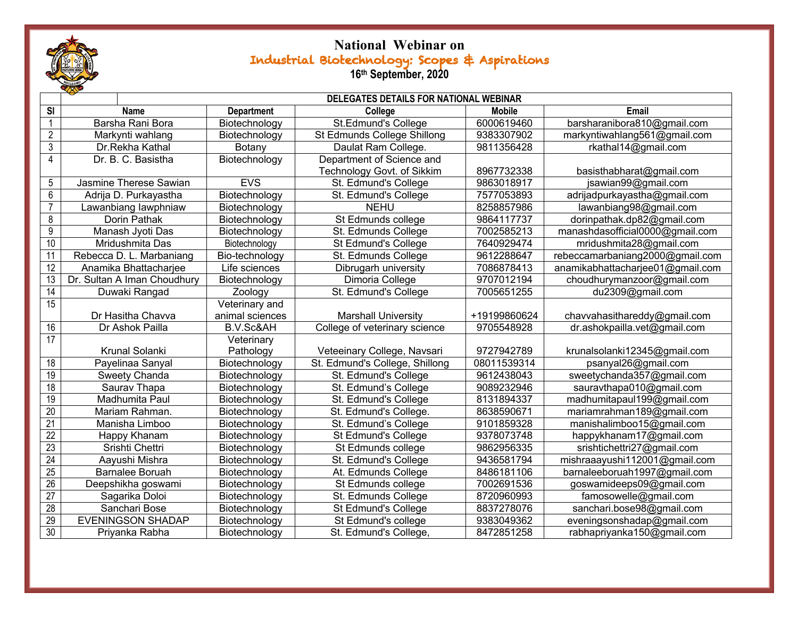

## **National Webinar on**  Industrial Biotechnology: Scopes & Aspirations **16th September, 2020**

|                 |                             | DELEGATES DETAILS FOR NATIONAL WEBINAR |                                |               |                                  |  |  |
|-----------------|-----------------------------|----------------------------------------|--------------------------------|---------------|----------------------------------|--|--|
| <b>SI</b>       | <b>Name</b>                 | <b>Department</b>                      | College                        | <b>Mobile</b> | <b>Email</b>                     |  |  |
| $\mathbf{1}$    | Barsha Rani Bora            | Biotechnology                          | St.Edmund's College            | 6000619460    | barsharanibora810@gmail.com      |  |  |
| $\overline{2}$  | Markynti wahlang            | Biotechnology                          | St Edmunds College Shillong    | 9383307902    | markyntiwahlang561@gmail.com     |  |  |
| $\overline{3}$  | Dr.Rekha Kathal             | Botany                                 | Daulat Ram College.            | 9811356428    | rkathal14@gmail.com              |  |  |
| $\overline{4}$  | Dr. B. C. Basistha          | Biotechnology                          | Department of Science and      |               |                                  |  |  |
|                 |                             |                                        | Technology Govt. of Sikkim     | 8967732338    | basisthabharat@gmail.com         |  |  |
| 5               | Jasmine Therese Sawian      | <b>EVS</b>                             | St. Edmund's College           | 9863018917    | jsawian99@gmail.com              |  |  |
| $6\phantom{.}$  | Adrija D. Purkayastha       | Biotechnology                          | St. Edmund's College           | 7577053893    | adrijadpurkayastha@gmail.com     |  |  |
| $\overline{7}$  | Lawanbiang lawphniaw        | Biotechnology                          | <b>NEHU</b>                    | 8258857986    | lawanbiang98@gmail.com           |  |  |
| 8               | Dorin Pathak                | Biotechnology                          | St Edmunds college             | 9864117737    | dorinpathak.dp82@gmail.com       |  |  |
| 9               | Manash Jyoti Das            | Biotechnology                          | St. Edmunds College            | 7002585213    | manashdasofficial0000@gmail.com  |  |  |
| 10              | Mridushmita Das             | Biotechnology                          | St Edmund's College            | 7640929474    | mridushmita28@gmail.com          |  |  |
| $\overline{11}$ | Rebecca D. L. Marbaniang    | Bio-technology                         | St. Edmunds College            | 9612288647    | rebeccamarbaniang2000@gmail.com  |  |  |
| $\overline{12}$ | Anamika Bhattacharjee       | Life sciences                          | Dibrugarh university           | 7086878413    | anamikabhattacharjee01@gmail.com |  |  |
| 13              | Dr. Sultan A Iman Choudhury | Biotechnology                          | Dimoria College                | 9707012194    | choudhurymanzoor@gmail.com       |  |  |
| 14              | Duwaki Rangad               | Zoology                                | St. Edmund's College           | 7005651255    | du2309@gmail.com                 |  |  |
| $\overline{15}$ |                             | Veterinary and                         |                                |               |                                  |  |  |
|                 | Dr Hasitha Chavva           | animal sciences                        | <b>Marshall University</b>     | +19199860624  | chavvahasithareddy@gmail.com     |  |  |
| 16              | Dr Ashok Pailla             | B.V.Sc&AH                              | College of veterinary science  | 9705548928    | dr.ashokpailla.vet@gmail.com     |  |  |
| 17              |                             | Veterinary                             |                                |               |                                  |  |  |
|                 | Krunal Solanki              | Pathology                              | Veteeinary College, Navsari    | 9727942789    | krunalsolanki12345@gmail.com     |  |  |
| 18              | Payelinaa Sanyal            | Biotechnology                          | St. Edmund's College, Shillong | 08011539314   | psanyal26@gmail.com              |  |  |
| $\overline{19}$ | <b>Sweety Chanda</b>        | Biotechnology                          | St. Edmund's College           | 9612438043    | sweetychanda357@gmail.com        |  |  |
| $\overline{18}$ | Saurav Thapa                | Biotechnology                          | St. Edmund's College           | 9089232946    | sauravthapa010@gmail.com         |  |  |
| 19              | Madhumita Paul              | Biotechnology                          | St. Edmund's College           | 8131894337    | madhumitapaul199@gmail.com       |  |  |
| 20              | Mariam Rahman.              | Biotechnology                          | St. Edmund's College.          | 8638590671    | mariamrahman189@gmail.com        |  |  |
| $\overline{21}$ | Manisha Limboo              | Biotechnology                          | St. Edmund's College           | 9101859328    | manishalimboo15@gmail.com        |  |  |
| $\overline{22}$ | Happy Khanam                | Biotechnology                          | St Edmund's College            | 9378073748    | happykhanam17@gmail.com          |  |  |
| 23              | Srishti Chettri             | Biotechnology                          | St Edmunds college             | 9862956335    | srishtichettri27@gmail.com       |  |  |
| 24              | Aayushi Mishra              | Biotechnology                          | St. Edmund's College           | 9436581794    | mishraaayushi112001@gmail.com    |  |  |
| $\overline{25}$ | <b>Barnalee Boruah</b>      | Biotechnology                          | At. Edmunds College            | 8486181106    | barnaleeboruah1997@gmail.com     |  |  |
| 26              | Deepshikha goswami          | Biotechnology                          | St Edmunds college             | 7002691536    | goswamideeps09@gmail.com         |  |  |
| $\overline{27}$ | Sagarika Doloi              | Biotechnology                          | St. Edmunds College            | 8720960993    | famosowelle@gmail.com            |  |  |
| $\overline{28}$ | Sanchari Bose               | Biotechnology                          | St Edmund's College            | 8837278076    | sanchari.bose98@gmail.com        |  |  |
| 29              | <b>EVENINGSON SHADAP</b>    | Biotechnology                          | St Edmund's college            | 9383049362    | eveningsonshadap@gmail.com       |  |  |
| 30              | Priyanka Rabha              | Biotechnology                          | St. Edmund's College,          | 8472851258    | rabhapriyanka150@gmail.com       |  |  |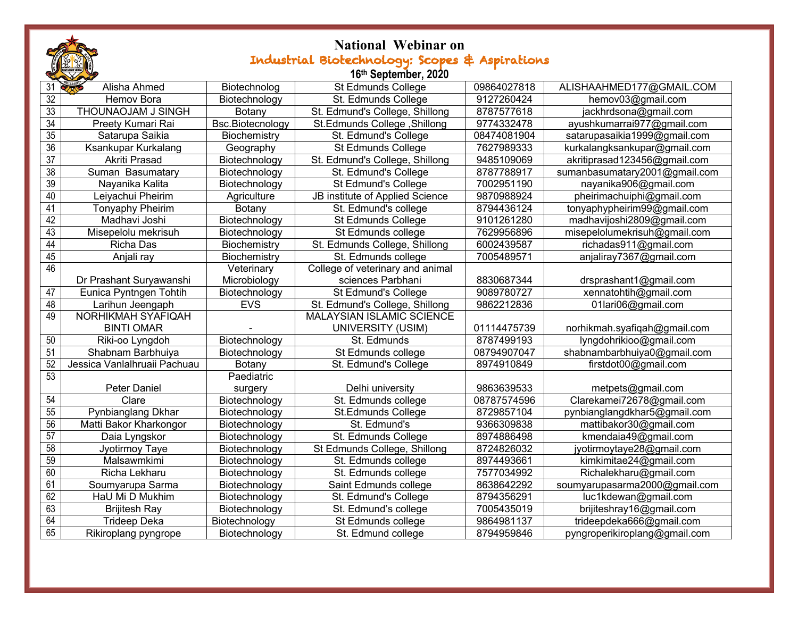|                      | <b>National Webinar on</b>                     |                  |                                  |             |                               |  |  |  |  |
|----------------------|------------------------------------------------|------------------|----------------------------------|-------------|-------------------------------|--|--|--|--|
|                      | Industrial Biotechnology: Scopes & Aspirations |                  |                                  |             |                               |  |  |  |  |
| 16th September, 2020 |                                                |                  |                                  |             |                               |  |  |  |  |
| 31                   | Alisha Ahmed                                   | Biotechnolog     | St Edmunds College               | 09864027818 | ALISHAAHMED177@GMAIL.COM      |  |  |  |  |
| $\overline{32}$      | Hemov Bora                                     | Biotechnology    | St. Edmunds College              | 9127260424  | hemov03@gmail.com             |  |  |  |  |
| 33                   | THOUNAOJAM J SINGH                             | Botany           | St. Edmund's College, Shillong   | 8787577618  | jackhrdsona@gmail.com         |  |  |  |  |
| $\overline{34}$      | Preety Kumari Rai                              | Bsc.Biotecnology | St.Edmunds College, Shillong     | 9774332478  | ayushkumarrai977@gmail.com    |  |  |  |  |
| 35                   | Satarupa Saikia                                | Biochemistry     | St. Edmund's College             | 08474081904 | satarupasaikia1999@gmail.com  |  |  |  |  |
| 36                   | Ksankupar Kurkalang                            | Geography        | St Edmunds College               | 7627989333  | kurkalangksankupar@gmail.com  |  |  |  |  |
| $\overline{37}$      | Akriti Prasad                                  | Biotechnology    | St. Edmund's College, Shillong   | 9485109069  | akritiprasad123456@gmail.com  |  |  |  |  |
| 38                   | Suman Basumatary                               | Biotechnology    | St. Edmund's College             | 8787788917  | sumanbasumatary2001@gmail.com |  |  |  |  |
| 39                   | Nayanika Kalita                                | Biotechnology    | St Edmund's College              | 7002951190  | nayanika906@gmail.com         |  |  |  |  |
| 40                   | Leiyachui Pheirim                              | Agriculture      | JB institute of Applied Science  | 9870988924  | pheirimachuiphi@gmail.com     |  |  |  |  |
| 41                   | <b>Tonyaphy Pheirim</b>                        | Botany           | St. Edmund's college             | 8794436124  | tonyaphypheirim99@gmail.com   |  |  |  |  |
| 42                   | Madhavi Joshi                                  | Biotechnology    | St Edmunds College               | 9101261280  | madhavijoshi2809@gmail.com    |  |  |  |  |
| 43                   | Misepelolu mekrisuh                            | Biotechnology    | St Edmunds college               | 7629956896  | misepelolumekrisuh@gmail.com  |  |  |  |  |
| 44                   | Richa Das                                      | Biochemistry     | St. Edmunds College, Shillong    | 6002439587  | richadas911@gmail.com         |  |  |  |  |
| 45                   | Anjali ray                                     | Biochemistry     | St. Edmunds college              | 7005489571  | anjaliray7367@gmail.com       |  |  |  |  |
| 46                   |                                                | Veterinary       | College of veterinary and animal |             |                               |  |  |  |  |
|                      | Dr Prashant Suryawanshi                        | Microbiology     | sciences Parbhani                | 8830687344  | drsprashant1@gmail.com        |  |  |  |  |
| 47                   | Eunica Pyntngen Tohtih                         | Biotechnology    | St Edmund's College              | 9089780727  | xennatohtih@gmail.com         |  |  |  |  |
| 48                   | Larihun Jeengaph                               | <b>EVS</b>       | St. Edmund's College, Shillong   | 9862212836  | 01lari06@gmail.com            |  |  |  |  |
| 49                   | <b>NORHIKMAH SYAFIQAH</b>                      |                  | <b>MALAYSIAN ISLAMIC SCIENCE</b> |             |                               |  |  |  |  |
|                      | <b>BINTI OMAR</b>                              |                  | <b>UNIVERSITY (USIM)</b>         | 01114475739 | norhikmah.syafiqah@gmail.com  |  |  |  |  |
| $50\,$               | Riki-oo Lyngdoh                                | Biotechnology    | St. Edmunds                      | 8787499193  | lyngdohrikioo@gmail.com       |  |  |  |  |
| 51                   | Shabnam Barbhuiya                              | Biotechnology    | St Edmunds college               | 08794907047 | shabnambarbhuiya0@gmail.com   |  |  |  |  |
| 52                   | Jessica Vanlalhruaii Pachuau                   | Botany           | St. Edmund's College             | 8974910849  | firstdot00@gmail.com          |  |  |  |  |
| 53                   |                                                | Paediatric       |                                  |             |                               |  |  |  |  |
|                      | <b>Peter Daniel</b>                            | surgery          | Delhi university                 | 9863639533  | metpets@gmail.com             |  |  |  |  |
| 54                   | Clare                                          | Biotechnology    | St. Edmunds college              | 08787574596 | Clarekamei72678@gmail.com     |  |  |  |  |
| 55                   | Pynbianglang Dkhar                             | Biotechnology    | St.Edmunds College               | 8729857104  | pynbianglangdkhar5@gmail.com  |  |  |  |  |
| 56                   | Matti Bakor Kharkongor                         | Biotechnology    | St. Edmund's                     | 9366309838  | mattibakor30@gmail.com        |  |  |  |  |
| 57                   | Daia Lyngskor                                  | Biotechnology    | St. Edmunds College              | 8974886498  | kmendaia49@gmail.com          |  |  |  |  |
| 58                   | Jyotirmoy Taye                                 | Biotechnology    | St Edmunds College, Shillong     | 8724826032  | jyotirmoytaye28@gmail.com     |  |  |  |  |
| 59                   | Malsawmkimi                                    | Biotechnology    | St. Edmunds college              | 8974493661  | kimkimitae24@gmail.com        |  |  |  |  |
| 60                   | Richa Lekharu                                  | Biotechnology    | St. Edmunds college              | 7577034992  | Richalekharu@gmail.com        |  |  |  |  |
| 61                   | Soumyarupa Sarma                               | Biotechnology    | Saint Edmunds college            | 8638642292  | soumyarupasarma2000@gmail.com |  |  |  |  |
| 62                   | HaU Mi D Mukhim                                | Biotechnology    | St. Edmund's College             | 8794356291  | luc1kdewan@gmail.com          |  |  |  |  |
| 63                   | <b>Brijitesh Ray</b>                           | Biotechnology    | St. Edmund's college             | 7005435019  | brijiteshray16@gmail.com      |  |  |  |  |
| 64                   | <b>Trideep Deka</b>                            | Biotechnology    | St Edmunds college               | 9864981137  | trideepdeka666@gmail.com      |  |  |  |  |
| 65                   | Rikiroplang pyngrope                           | Biotechnology    | St. Edmund college               | 8794959846  | pyngroperikiroplang@gmail.com |  |  |  |  |